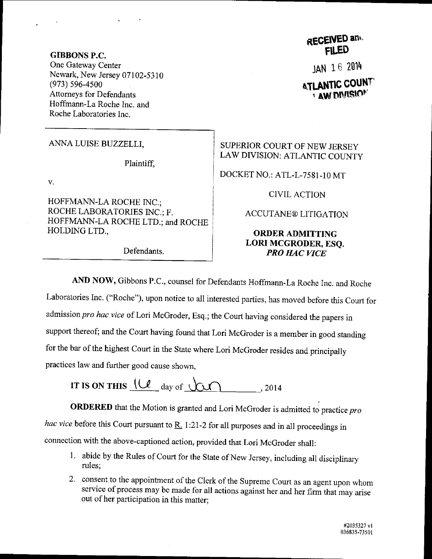#### **GIBBONS P.C.** One Gateway Center Newark, New Jersey 07102-5310  $(973) 596 - 4500$ **Attorneys for Defendants** Hoffmann-La Roche Inc. and Roche Laboratories Inc.

ANNA LUISE BUZZELLI,

Plaintiff,

v.

HOFFMANN-LA ROCHE INC.; ROCHE LABORATORIES INC.: F. HOFFMANN-LA ROCHE LTD.; and ROCHE HOLDING LTD.,

Defendants.

# **RECEIVED and**

JAN 16 2014

## **ATLANTIC COUNT AW DIVISION**

SUPERIOR COURT OF NEW JERSEY LAW DIVISION: ATLANTIC COUNTY

DOCKET NO.: ATL-L-7581-10 MT

**CIVIL ACTION** 

### **ACCUTANE® LITIGATION**

## **ORDER ADMITTING** LORI MCGRODER, ESO. **PRO HAC VICE**

AND NOW, Gibbons P.C., counsel for Defendants Hoffmann-La Roche Inc. and Roche Laboratories Inc. ("Roche"), upon notice to all interested parties, has moved before this Court for admission pro hac vice of Lori McGroder, Esq.; the Court having considered the papers in support thereof; and the Court having found that Lori McGroder is a member in good standing for the bar of the highest Court in the State where Lori McGroder resides and principally

practices law and further good cause shown,

IT IS ON THIS  $(\mathcal{U}_{\text{day of }}\mathcal{U})$  . 2014

**ORDERED** that the Motion is granted and Lori McGroder is admitted to practice pro hac vice before this Court pursuant to  $R_1$  1:21-2 for all purposes and in all proceedings in connection with the above-captioned action, provided that Lori McGroder shall:

- 1. abide by the Rules of Court for the State of New Jersey, including all disciplinary rules:
- 2. consent to the appointment of the Clerk of the Supreme Court as an agent upon whom service of process may be made for all actions against her and her firm that may arise out of her participation in this matter;